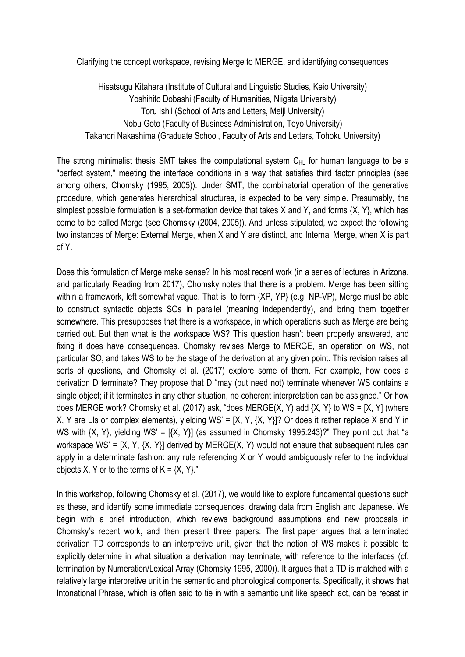Clarifying the concept workspace, revising Merge to MERGE, and identifying consequences

Hisatsugu Kitahara (Institute of Cultural and Linguistic Studies, Keio University) Yoshihito Dobashi (Faculty of Humanities, Niigata University) Toru Ishii (School of Arts and Letters, Meiji University) Nobu Goto (Faculty of Business Administration, Toyo University) Takanori Nakashima (Graduate School, Faculty of Arts and Letters, Tohoku University)

The strong minimalist thesis SMT takes the computational system  $C_{HL}$  for human language to be a "perfect system," meeting the interface conditions in a way that satisfies third factor principles (see among others, Chomsky (1995, 2005)). Under SMT, the combinatorial operation of the generative procedure, which generates hierarchical structures, is expected to be very simple. Presumably, the simplest possible formulation is a set-formation device that takes X and Y, and forms {X, Y}, which has come to be called Merge (see Chomsky (2004, 2005)). And unless stipulated, we expect the following two instances of Merge: External Merge, when X and Y are distinct, and Internal Merge, when X is part of Y.

Does this formulation of Merge make sense? In his most recent work (in a series of lectures in Arizona, and particularly Reading from 2017), Chomsky notes that there is a problem. Merge has been sitting within a framework, left somewhat vague. That is, to form {XP, YP} (e.g. NP-VP), Merge must be able to construct syntactic objects SOs in parallel (meaning independently), and bring them together somewhere. This presupposes that there is a workspace, in which operations such as Merge are being carried out. But then what is the workspace WS? This question hasn't been properly answered, and fixing it does have consequences. Chomsky revises Merge to MERGE, an operation on WS, not particular SO, and takes WS to be the stage of the derivation at any given point. This revision raises all sorts of questions, and Chomsky et al. (2017) explore some of them. For example, how does a derivation D terminate? They propose that D "may (but need not) terminate whenever WS contains a single object; if it terminates in any other situation, no coherent interpretation can be assigned." Or how does MERGE work? Chomsky et al. (2017) ask, "does MERGE(X, Y) add {X, Y} to WS = [X, Y] (where X, Y are LIs or complex elements), yielding WS' = [X, Y, {X, Y}]? Or does it rather replace X and Y in WS with {X, Y}, yielding WS' = [{X, Y}] (as assumed in Chomsky 1995:243)?" They point out that "a workspace WS' = [X, Y, {X, Y}] derived by MERGE(X, Y) would not ensure that subsequent rules can apply in a determinate fashion: any rule referencing X or Y would ambiguously refer to the individual objects X, Y or to the terms of  $K = \{X, Y\}$ ."

In this workshop, following Chomsky et al. (2017), we would like to explore fundamental questions such as these, and identify some immediate consequences, drawing data from English and Japanese. We begin with a brief introduction, which reviews background assumptions and new proposals in Chomsky's recent work, and then present three papers: The first paper argues that a terminated derivation TD corresponds to an interpretive unit, given that the notion of WS makes it possible to explicitly determine in what situation a derivation may terminate, with reference to the interfaces (cf. termination by Numeration/Lexical Array (Chomsky 1995, 2000)). It argues that a TD is matched with a relatively large interpretive unit in the semantic and phonological components. Specifically, it shows that Intonational Phrase, which is often said to tie in with a semantic unit like speech act, can be recast in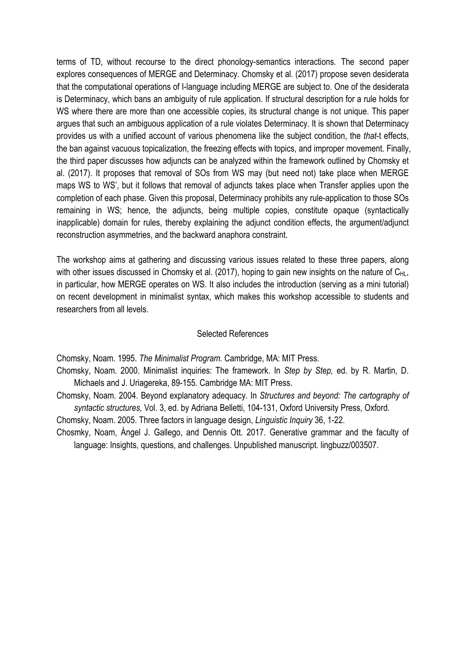terms of TD, without recourse to the direct phonology-semantics interactions. The second paper explores consequences of MERGE and Determinacy. Chomsky et al. (2017) propose seven desiderata that the computational operations of I-language including MERGE are subject to. One of the desiderata is Determinacy, which bans an ambiguity of rule application. If structural description for a rule holds for WS where there are more than one accessible copies, its structural change is not unique. This paper argues that such an ambiguous application of a rule violates Determinacy. It is shown that Determinacy provides us with a unified account of various phenomena like the subject condition, the *that*-t effects, the ban against vacuous topicalization, the freezing effects with topics, and improper movement. Finally, the third paper discusses how adjuncts can be analyzed within the framework outlined by Chomsky et al. (2017). It proposes that removal of SOs from WS may (but need not) take place when MERGE maps WS to WS', but it follows that removal of adjuncts takes place when Transfer applies upon the completion of each phase. Given this proposal, Determinacy prohibits any rule-application to those SOs remaining in WS; hence, the adjuncts, being multiple copies, constitute opaque (syntactically inapplicable) domain for rules, thereby explaining the adjunct condition effects, the argument/adjunct reconstruction asymmetries, and the backward anaphora constraint.

The workshop aims at gathering and discussing various issues related to these three papers, along with other issues discussed in Chomsky et al. (2017), hoping to gain new insights on the nature of  $C_{HL}$ , in particular, how MERGE operates on WS. It also includes the introduction (serving as a mini tutorial) on recent development in minimalist syntax, which makes this workshop accessible to students and researchers from all levels.

## Selected References

Chomsky, Noam. 1995. *The Minimalist Program.* Cambridge, MA: MIT Press.

- Chomsky, Noam. 2000. Minimalist inquiries: The framework. In *Step by Step,* ed. by R. Martin, D. Michaels and J. Uriagereka, 89-155*.* Cambridge MA: MIT Press.
- Chomsky, Noam. 2004. Beyond explanatory adequacy. In *Structures and beyond: The cartography of syntactic structures,* Vol. 3, ed. by Adriana Belletti, 104-131, Oxford University Press, Oxford.

Chomsky, Noam. 2005. Three factors in language design, *Linguistic Inquiry* 36, 1-22.

Chosmky, Noam, Ángel J. Gallego, and Dennis Ott. 2017. Generative grammar and the faculty of language: Insights, questions, and challenges. Unpublished manuscript. lingbuzz/003507.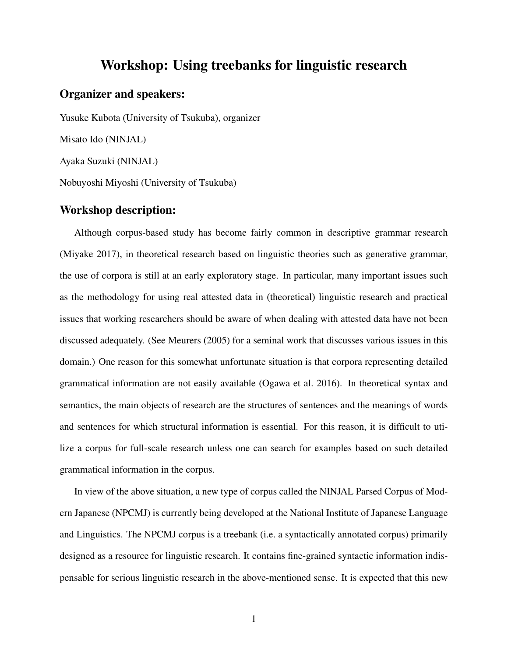# Workshop: Using treebanks for linguistic research

## Organizer and speakers:

Yusuke Kubota (University of Tsukuba), organizer Misato Ido (NINJAL) Ayaka Suzuki (NINJAL) Nobuyoshi Miyoshi (University of Tsukuba)

## Workshop description:

Although corpus-based study has become fairly common in descriptive grammar research (Miyake 2017), in theoretical research based on linguistic theories such as generative grammar, the use of corpora is still at an early exploratory stage. In particular, many important issues such as the methodology for using real attested data in (theoretical) linguistic research and practical issues that working researchers should be aware of when dealing with attested data have not been discussed adequately. (See Meurers (2005) for a seminal work that discusses various issues in this domain.) One reason for this somewhat unfortunate situation is that corpora representing detailed grammatical information are not easily available (Ogawa et al. 2016). In theoretical syntax and semantics, the main objects of research are the structures of sentences and the meanings of words and sentences for which structural information is essential. For this reason, it is difficult to utilize a corpus for full-scale research unless one can search for examples based on such detailed grammatical information in the corpus.

In view of the above situation, a new type of corpus called the NINJAL Parsed Corpus of Modern Japanese (NPCMJ) is currently being developed at the National Institute of Japanese Language and Linguistics. The NPCMJ corpus is a treebank (i.e. a syntactically annotated corpus) primarily designed as a resource for linguistic research. It contains fine-grained syntactic information indispensable for serious linguistic research in the above-mentioned sense. It is expected that this new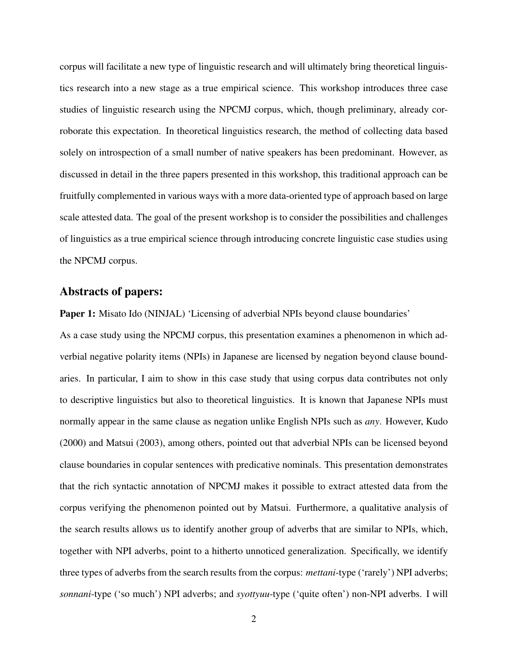corpus will facilitate a new type of linguistic research and will ultimately bring theoretical linguistics research into a new stage as a true empirical science. This workshop introduces three case studies of linguistic research using the NPCMJ corpus, which, though preliminary, already corroborate this expectation. In theoretical linguistics research, the method of collecting data based solely on introspection of a small number of native speakers has been predominant. However, as discussed in detail in the three papers presented in this workshop, this traditional approach can be fruitfully complemented in various ways with a more data-oriented type of approach based on large scale attested data. The goal of the present workshop is to consider the possibilities and challenges of linguistics as a true empirical science through introducing concrete linguistic case studies using the NPCMJ corpus.

#### Abstracts of papers:

Paper 1: Misato Ido (NINJAL) 'Licensing of adverbial NPIs beyond clause boundaries'

As a case study using the NPCMJ corpus, this presentation examines a phenomenon in which adverbial negative polarity items (NPIs) in Japanese are licensed by negation beyond clause boundaries. In particular, I aim to show in this case study that using corpus data contributes not only to descriptive linguistics but also to theoretical linguistics. It is known that Japanese NPIs must normally appear in the same clause as negation unlike English NPIs such as *any*. However, Kudo (2000) and Matsui (2003), among others, pointed out that adverbial NPIs can be licensed beyond clause boundaries in copular sentences with predicative nominals. This presentation demonstrates that the rich syntactic annotation of NPCMJ makes it possible to extract attested data from the corpus verifying the phenomenon pointed out by Matsui. Furthermore, a qualitative analysis of the search results allows us to identify another group of adverbs that are similar to NPIs, which, together with NPI adverbs, point to a hitherto unnoticed generalization. Specifically, we identify three types of adverbs from the search results from the corpus: *mettani*-type ('rarely') NPI adverbs; *sonnani*-type ('so much') NPI adverbs; and *syottyuu*-type ('quite often') non-NPI adverbs. I will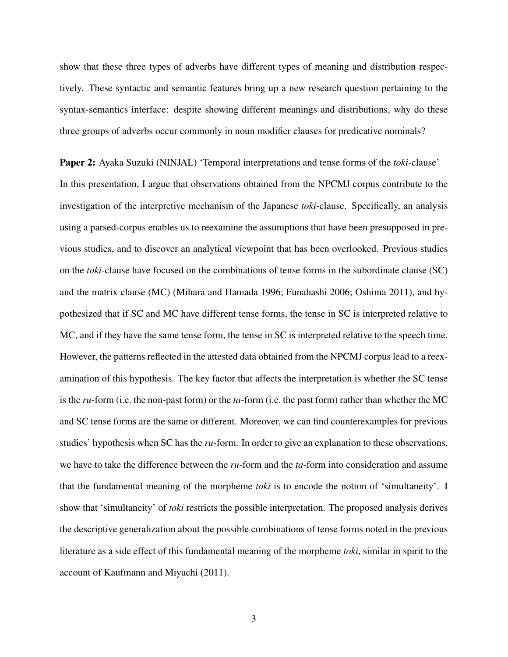show that these three types of adverbs have different types of meaning and distribution respectively. These syntactic and semantic features bring up a new research question pertaining to the syntax-semantics interface: despite showing different meanings and distributions, why do these three groups of adverbs occur commonly in noun modifier clauses for predicative nominals?

Paper 2: Ayaka Suzuki (NINJAL) 'Temporal interpretations and tense forms of the *toki*-clause' In this presentation, I argue that observations obtained from the NPCMJ corpus contribute to the investigation of the interpretive mechanism of the Japanese *toki*-clause. Specifically, an analysis using a parsed-corpus enables us to reexamine the assumptions that have been presupposed in previous studies, and to discover an analytical viewpoint that has been overlooked. Previous studies on the *toki*-clause have focused on the combinations of tense forms in the subordinate clause (SC) and the matrix clause (MC) (Mihara and Hamada 1996; Funahashi 2006; Oshima 2011), and hypothesized that if SC and MC have different tense forms, the tense in SC is interpreted relative to MC, and if they have the same tense form, the tense in SC is interpreted relative to the speech time. However, the patterns reflected in the attested data obtained from the NPCMJ corpus lead to a reexamination of this hypothesis. The key factor that affects the interpretation is whether the SC tense is the *ru*-form (i.e. the non-past form) or the *ta*-form (i.e. the past form) rather than whether the MC and SC tense forms are the same or different. Moreover, we can find counterexamples for previous studies' hypothesis when SC has the *ru*-form. In order to give an explanation to these observations, we have to take the difference between the *ru*-form and the *ta*-form into consideration and assume that the fundamental meaning of the morpheme *toki* is to encode the notion of 'simultaneity'. I show that 'simultaneity' of *toki* restricts the possible interpretation. The proposed analysis derives the descriptive generalization about the possible combinations of tense forms noted in the previous literature as a side effect of this fundamental meaning of the morpheme *toki*, similar in spirit to the account of Kaufmann and Miyachi (2011).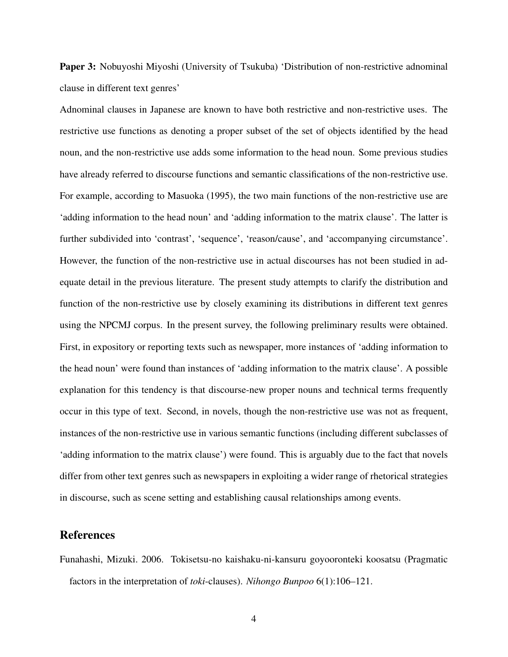Paper 3: Nobuyoshi Miyoshi (University of Tsukuba) 'Distribution of non-restrictive adnominal clause in different text genres'

Adnominal clauses in Japanese are known to have both restrictive and non-restrictive uses. The restrictive use functions as denoting a proper subset of the set of objects identified by the head noun, and the non-restrictive use adds some information to the head noun. Some previous studies have already referred to discourse functions and semantic classifications of the non-restrictive use. For example, according to Masuoka (1995), the two main functions of the non-restrictive use are 'adding information to the head noun' and 'adding information to the matrix clause'. The latter is further subdivided into 'contrast', 'sequence', 'reason/cause', and 'accompanying circumstance'. However, the function of the non-restrictive use in actual discourses has not been studied in adequate detail in the previous literature. The present study attempts to clarify the distribution and function of the non-restrictive use by closely examining its distributions in different text genres using the NPCMJ corpus. In the present survey, the following preliminary results were obtained. First, in expository or reporting texts such as newspaper, more instances of 'adding information to the head noun' were found than instances of 'adding information to the matrix clause'. A possible explanation for this tendency is that discourse-new proper nouns and technical terms frequently occur in this type of text. Second, in novels, though the non-restrictive use was not as frequent, instances of the non-restrictive use in various semantic functions (including different subclasses of 'adding information to the matrix clause') were found. This is arguably due to the fact that novels differ from other text genres such as newspapers in exploiting a wider range of rhetorical strategies in discourse, such as scene setting and establishing causal relationships among events.

#### References

Funahashi, Mizuki. 2006. Tokisetsu-no kaishaku-ni-kansuru goyooronteki koosatsu (Pragmatic factors in the interpretation of *toki*-clauses). *Nihongo Bunpoo* 6(1):106–121.